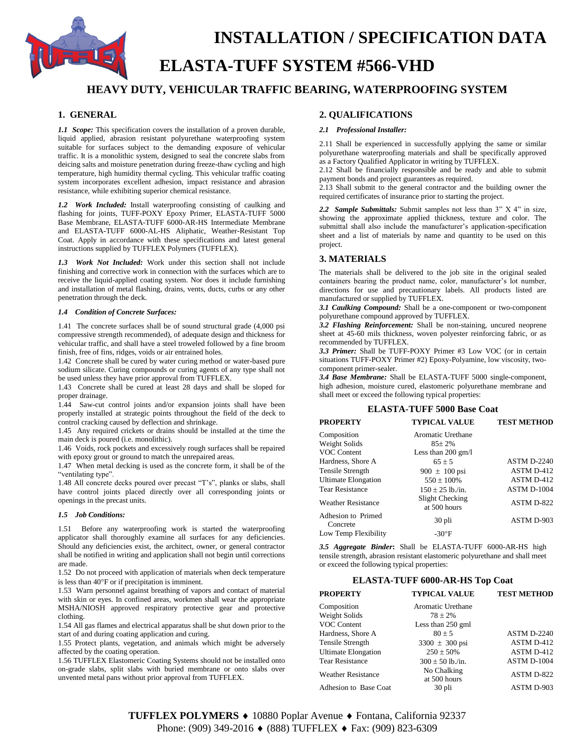

# **ELASTA-TUFF SYSTEM #566-VHD**

# **HEAVY DUTY, VEHICULAR TRAFFIC BEARING, WATERPROOFING SYSTEM**

## **1. GENERAL**

*1.1 Scope:* This specification covers the installation of a proven durable, liquid applied, abrasion resistant polyurethane waterproofing system suitable for surfaces subject to the demanding exposure of vehicular traffic. It is a monolithic system, designed to seal the concrete slabs from deicing salts and moisture penetration during freeze-thaw cycling and high temperature, high humidity thermal cycling. This vehicular traffic coating system incorporates excellent adhesion, impact resistance and abrasion resistance, while exhibiting superior chemical resistance.

*1.2 Work Included:* Install waterproofing consisting of caulking and flashing for joints, TUFF-POXY Epoxy Primer, ELASTA-TUFF 5000 Base Membrane, ELASTA-TUFF 6000-AR-HS Intermediate Membrane and ELASTA-TUFF 6000-AL-HS Aliphatic, Weather-Resistant Top Coat. Apply in accordance with these specifications and latest general instructions supplied by TUFFLEX Polymers (TUFFLEX).

*1.3 Work Not Included:* Work under this section shall not include finishing and corrective work in connection with the surfaces which are to receive the liquid-applied coating system. Nor does it include furnishing and installation of metal flashing, drains, vents, ducts, curbs or any other penetration through the deck.

#### *1.4 Condition of Concrete Surfaces:*

1.41 The concrete surfaces shall be of sound structural grade (4,000 psi compressive strength recommended), of adequate design and thickness for vehicular traffic, and shall have a steel troweled followed by a fine broom finish, free of fins, ridges, voids or air entrained holes.

1.42 Concrete shall be cured by water curing method or water-based pure sodium silicate. Curing compounds or curing agents of any type shall not be used unless they have prior approval from TUFFLEX.

1.43 Concrete shall be cured at least 28 days and shall be sloped for proper drainage.

1.44 Saw-cut control joints and/or expansion joints shall have been properly installed at strategic points throughout the field of the deck to control cracking caused by deflection and shrinkage.

1.45 Any required crickets or drains should be installed at the time the main deck is poured (i.e. monolithic).

1.46 Voids, rock pockets and excessively rough surfaces shall be repaired with epoxy grout or ground to match the unrepaired areas.

1.47 When metal decking is used as the concrete form, it shall be of the "ventilating type".

1.48 All concrete decks poured over precast "T's", planks or slabs, shall have control joints placed directly over all corresponding joints or openings in the precast units.

#### *1.5 Job Conditions:*

1.51 Before any waterproofing work is started the waterproofing applicator shall thoroughly examine all surfaces for any deficiencies. Should any deficiencies exist, the architect, owner, or general contractor shall be notified in writing and application shall not begin until corrections are made.

1.52 Do not proceed with application of materials when deck temperature is less than  $40^{\circ}$  f or if precipitation is imminent.

1.53 Warn personnel against breathing of vapors and contact of material with skin or eyes. In confined areas, workmen shall wear the appropriate MSHA/NIOSH approved respiratory protective gear and protective clothing.

1.54 All gas flames and electrical apparatus shall be shut down prior to the start of and during coating application and curing.

1.55 Protect plants, vegetation, and animals which might be adversely affected by the coating operation.

1.56 TUFFLEX Elastomeric Coating Systems should not be installed onto on-grade slabs, split slabs with buried membrane or onto slabs over unvented metal pans without prior approval from TUFFLEX.

# **2. QUALIFICATIONS**

#### *2.1 Professional Installer:*

2.11 Shall be experienced in successfully applying the same or similar polyurethane waterproofing materials and shall be specifically approved as a Factory Qualified Applicator in writing by TUFFLEX.

2.12 Shall be financially responsible and be ready and able to submit payment bonds and project guarantees as required.

2.13 Shall submit to the general contractor and the building owner the required certificates of insurance prior to starting the project.

*2.2 Sample Submittals:* Submit samples not less than 3" X 4" in size, showing the approximate applied thickness, texture and color. The submittal shall also include the manufacturer's application-specification sheet and a list of materials by name and quantity to be used on this project.

# **3. MATERIALS**

The materials shall be delivered to the job site in the original sealed containers bearing the product name, color, manufacturer's lot number, directions for use and precautionary labels. All products listed are manufactured or supplied by TUFFLEX.

*3.1 Caulking Compound:* Shall be a one-component or two-component polyurethane compound approved by TUFFLEX.

*3.2 Flashing Reinforcement:* Shall be non-staining, uncured neoprene sheet at 45-60 mils thickness, woven polyester reinforcing fabric, or as recommended by TUFFLEX.

*3.3 Primer:* Shall be TUFF-POXY Primer #3 Low VOC (or in certain situations TUFF-POXY Primer #2) Epoxy-Polyamine, low viscosity, twocomponent primer-sealer.

*3.4 Base Membrane:* Shall be ELASTA-TUFF 5000 single-component, high adhesion, moisture cured, elastomeric polyurethane membrane and shall meet or exceed the following typical properties:

#### **ELASTA-TUFF 5000 Base Coat**

| <b>PROPERTY</b>                | <b>TYPICAL VALUE</b>            | <b>TEST METHOD</b> |
|--------------------------------|---------------------------------|--------------------|
| Composition                    | Aromatic Urethane               |                    |
| Weight Solids                  | $85 \pm 2\%$                    |                    |
| VOC Content                    | Less than $200 \text{ gm/l}$    |                    |
| Hardness, Shore A              | $65 \pm 5$                      | <b>ASTM D-2240</b> |
| Tensile Strength               | 900 $\pm$ 100 psi               | ASTM D-412         |
| <b>Ultimate Elongation</b>     | $550 \pm 100\%$                 | ASTM D-412         |
| <b>Tear Resistance</b>         | $150 + 25$ lb./in.              | ASTM D-1004        |
| <b>Weather Resistance</b>      | Slight Checking<br>at 500 hours | ASTM D-822         |
| Adhesion to Primed<br>Concrete | 30 pli                          | ASTM D-903         |
| Low Temp Flexibility           | $-30^{\circ}$ F                 |                    |

*3.5 Aggregate Binder***:** Shall be ELASTA-TUFF 6000-AR-HS high tensile strength, abrasion resistant elastomeric polyurethane and shall meet or exceed the following typical properties:

#### **ELASTA-TUFF 6000-AR-HS Top Coat**

| <b>PROPERTY</b>           | <b>TYPICAL VALUE</b> | <b>TEST METHOD</b> |
|---------------------------|----------------------|--------------------|
| Composition               | Aromatic Urethane    |                    |
| Weight Solids             | $78 \pm 2\%$         |                    |
| VOC Content               | Less than $250$ gml  |                    |
| Hardness, Shore A         | $80 + 5$             | <b>ASTM D-2240</b> |
| Tensile Strength          | $3300 \pm 300$ psi   | ASTM D-412         |
| Ultimate Elongation       | $250 \pm 50\%$       | ASTM D-412         |
| <b>Tear Resistance</b>    | $300 \pm 50$ lb./in. | ASTM D-1004        |
| <b>Weather Resistance</b> | No Chalking          | ASTM D-822         |
|                           | at 500 hours         |                    |
| Adhesion to Base Coat     | 30 pli               | ASTM D-903         |

**TUFFLEX POLYMERS ♦** 10880 Poplar Avenue ♦ Fontana, California 92337 Phone: (909) 349-2016 ♦ (888) TUFFLEX ♦ Fax: (909) 823-6309